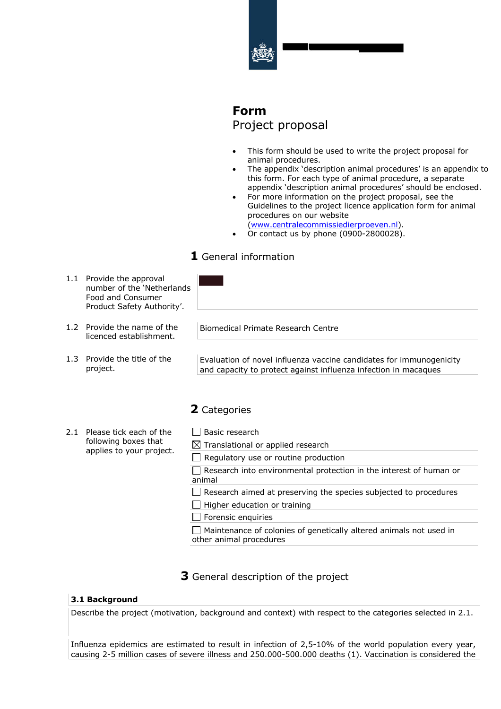

# **Form** Project proposal

- This form should be used to write the project proposal for animal procedures.
- The appendix 'description animal procedures' is an appendix to this form. For each type of animal procedure, a separate appendix 'description animal procedures' should be enclosed.
- For more information on the project proposal, see the Guidelines to the project licence application form for animal procedures on our website

(www.centralecommissiedierproeven.nl).

• Or contact us by phone (0900-2800028).

# **1** General information

- 1.1 Provide the approval number of the 'Netherlands Food and Consumer Product Safety Authority'.
- 1.2 Provide the name of the licenced establishment.
- 1.3 Provide the title of the project.

Biomedical Primate Research Centre

Evaluation of novel influenza vaccine candidates for immunogenicity and capacity to protect against influenza infection in macaques

# **2** Categories

2.1 Please tick each of the following boxes that applies to your project.

| $\Box$ Basic research                                                               |  |
|-------------------------------------------------------------------------------------|--|
| $\boxtimes$ Translational or applied research                                       |  |
| $\Box$ Regulatory use or routine production                                         |  |
| $\Box$ Research into environmental protection in the interest of human or<br>animal |  |
| Research aimed at preserving the species subjected to procedures                    |  |
| $\Box$ Higher education or training                                                 |  |
| $\Box$ Forensic enquiries                                                           |  |

 $\Box$  Maintenance of colonies of genetically altered animals not used in other animal procedures

# **3** General description of the project

## **3.1 Background**

Describe the project (motivation, background and context) with respect to the categories selected in 2.1.

Influenza epidemics are estimated to result in infection of 2,5-10% of the world population every year, causing 2-5 million cases of severe illness and 250.000-500.000 deaths (1). Vaccination is considered the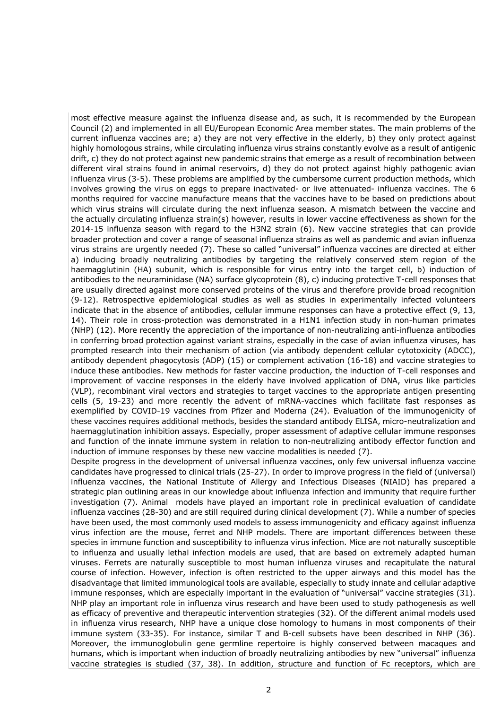most effective measure against the influenza disease and, as such, it is recommended by the European Council (2) and implemented in all EU/European Economic Area member states. The main problems of the current influenza vaccines are; a) they are not very effective in the elderly, b) they only protect against highly homologous strains, while circulating influenza virus strains constantly evolve as a result of antigenic drift, c) they do not protect against new pandemic strains that emerge as a result of recombination between different viral strains found in animal reservoirs, d) they do not protect against highly pathogenic avian influenza virus (3-5). These problems are amplified by the cumbersome current production methods, which involves growing the virus on eggs to prepare inactivated- or live attenuated- influenza vaccines. The 6 months required for vaccine manufacture means that the vaccines have to be based on predictions about which virus strains will circulate during the next influenza season. A mismatch between the vaccine and the actually circulating influenza strain(s) however, results in lower vaccine effectiveness as shown for the 2014-15 influenza season with regard to the H3N2 strain (6). New vaccine strategies that can provide broader protection and cover a range of seasonal influenza strains as well as pandemic and avian influenza virus strains are urgently needed (7). These so called "universal" influenza vaccines are directed at either a) inducing broadly neutralizing antibodies by targeting the relatively conserved stem region of the haemagglutinin (HA) subunit, which is responsible for virus entry into the target cell, b) induction of antibodies to the neuraminidase (NA) surface glycoprotein (8), c) inducing protective T-cell responses that are usually directed against more conserved proteins of the virus and therefore provide broad recognition (9-12). Retrospective epidemiological studies as well as studies in experimentally infected volunteers indicate that in the absence of antibodies, cellular immune responses can have a protective effect (9, 13, 14). Their role in cross-protection was demonstrated in a H1N1 infection study in non-human primates (NHP) (12). More recently the appreciation of the importance of non-neutralizing anti-influenza antibodies in conferring broad protection against variant strains, especially in the case of avian influenza viruses, has prompted research into their mechanism of action (via antibody dependent cellular cytotoxicity (ADCC), antibody dependent phagocytosis (ADP) (15) or complement activation (16-18) and vaccine strategies to induce these antibodies. New methods for faster vaccine production, the induction of T-cell responses and improvement of vaccine responses in the elderly have involved application of DNA, virus like particles (VLP), recombinant viral vectors and strategies to target vaccines to the appropriate antigen presenting cells (5, 19-23) and more recently the advent of mRNA-vaccines which facilitate fast responses as exemplified by COVID-19 vaccines from Pfizer and Moderna (24). Evaluation of the immunogenicity of these vaccines requires additional methods, besides the standard antibody ELISA, micro-neutralization and haemagglutination inhibition assays. Especially, proper assessment of adaptive cellular immune responses and function of the innate immune system in relation to non-neutralizing antibody effector function and induction of immune responses by these new vaccine modalities is needed (7).

Despite progress in the development of universal influenza vaccines, only few universal influenza vaccine candidates have progressed to clinical trials (25-27). In order to improve progress in the field of (universal) influenza vaccines, the National Institute of Allergy and Infectious Diseases (NIAID) has prepared a strategic plan outlining areas in our knowledge about influenza infection and immunity that require further investigation (7). Animal models have played an important role in preclinical evaluation of candidate influenza vaccines (28-30) and are still required during clinical development (7). While a number of species have been used, the most commonly used models to assess immunogenicity and efficacy against influenza virus infection are the mouse, ferret and NHP models. There are important differences between these species in immune function and susceptibility to influenza virus infection. Mice are not naturally susceptible to influenza and usually lethal infection models are used, that are based on extremely adapted human viruses. Ferrets are naturally susceptible to most human influenza viruses and recapitulate the natural course of infection. However, infection is often restricted to the upper airways and this model has the disadvantage that limited immunological tools are available, especially to study innate and cellular adaptive immune responses, which are especially important in the evaluation of "universal" vaccine strategies (31). NHP play an important role in influenza virus research and have been used to study pathogenesis as well as efficacy of preventive and therapeutic intervention strategies (32). Of the different animal models used in influenza virus research, NHP have a unique close homology to humans in most components of their immune system (33-35). For instance, similar T and B-cell subsets have been described in NHP (36). Moreover, the immunoglobulin gene germline repertoire is highly conserved between macaques and humans, which is important when induction of broadly neutralizing antibodies by new "universal" influenza vaccine strategies is studied (37, 38). In addition, structure and function of Fc receptors, which are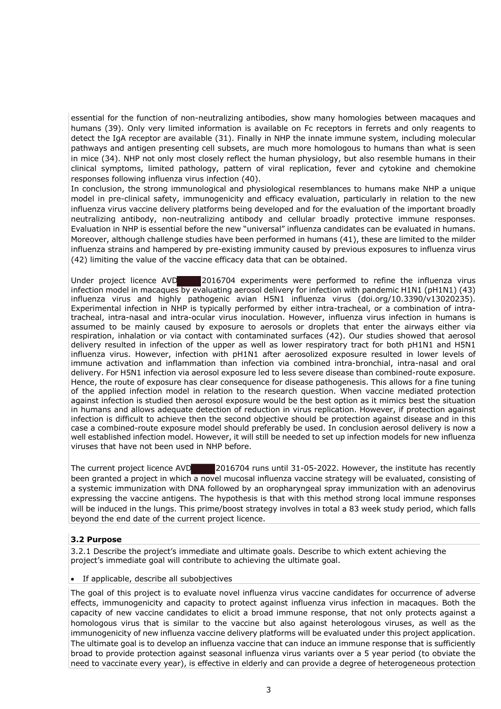essential for the function of non-neutralizing antibodies, show many homologies between macaques and humans (39). Only very limited information is available on Fc receptors in ferrets and only reagents to detect the IgA receptor are available (31). Finally in NHP the innate immune system, including molecular pathways and antigen presenting cell subsets, are much more homologous to humans than what is seen in mice (34). NHP not only most closely reflect the human physiology, but also resemble humans in their clinical symptoms, limited pathology, pattern of viral replication, fever and cytokine and chemokine responses following influenza virus infection (40).

In conclusion, the strong immunological and physiological resemblances to humans make NHP a unique model in pre-clinical safety, immunogenicity and efficacy evaluation, particularly in relation to the new influenza virus vaccine delivery platforms being developed and for the evaluation of the important broadly neutralizing antibody, non-neutralizing antibody and cellular broadly protective immune responses. Evaluation in NHP is essential before the new "universal" influenza candidates can be evaluated in humans. Moreover, although challenge studies have been performed in humans (41), these are limited to the milder influenza strains and hampered by pre-existing immunity caused by previous exposures to influenza virus (42) limiting the value of the vaccine efficacy data that can be obtained.

**E2016704** experiments were performed to refine the influenza virus infection model in macaques by evaluating aerosol delivery for infection with pandemic H1N1 (pH1N1) (43) influenza virus and highly pathogenic avian H5N1 influenza virus (doi.org/10.3390/v13020235). Experimental infection in NHP is typically performed by either intra-tracheal, or a combination of intratracheal, intra-nasal and intra-ocular virus inoculation. However, influenza virus infection in humans is assumed to be mainly caused by exposure to aerosols or droplets that enter the airways either via respiration, inhalation or via contact with contaminated surfaces (42). Our studies showed that aerosol delivery resulted in infection of the upper as well as lower respiratory tract for both pH1N1 and H5N1 influenza virus. However, infection with pH1N1 after aerosolized exposure resulted in lower levels of immune activation and inflammation than infection via combined intra-bronchial, intra-nasal and oral delivery. For H5N1 infection via aerosol exposure led to less severe disease than combined-route exposure. Hence, the route of exposure has clear consequence for disease pathogenesis. This allows for a fine tuning of the applied infection model in relation to the research question. When vaccine mediated protection against infection is studied then aerosol exposure would be the best option as it mimics best the situation in humans and allows adequate detection of reduction in virus replication. However, if protection against infection is difficult to achieve then the second objective should be protection against disease and in this case a combined-route exposure model should preferably be used. In conclusion aerosol delivery is now a well established infection model. However, it will still be needed to set up infection models for new influenza viruses that have not been used in NHP before. Under project licence AVD

The current project licence AVD 2016704 runs until 31-05-2022. However, the institute has recently been granted a project in which a novel mucosal influenza vaccine strategy will be evaluated, consisting of a systemic immunization with DNA followed by an oropharyngeal spray immunization with an adenovirus expressing the vaccine antigens. The hypothesis is that with this method strong local immune responses will be induced in the lungs. This prime/boost strategy involves in total a 83 week study period, which falls beyond the end date of the current project licence.

## **3.2 Purpose**

3.2.1 Describe the project's immediate and ultimate goals. Describe to which extent achieving the project's immediate goal will contribute to achieving the ultimate goal.

#### • If applicable, describe all subobjectives

The goal of this project is to evaluate novel influenza virus vaccine candidates for occurrence of adverse effects, immunogenicity and capacity to protect against influenza virus infection in macaques. Both the capacity of new vaccine candidates to elicit a broad immune response, that not only protects against a homologous virus that is similar to the vaccine but also against heterologous viruses, as well as the immunogenicity of new influenza vaccine delivery platforms will be evaluated under this project application. The ultimate goal is to develop an influenza vaccine that can induce an immune response that is sufficiently broad to provide protection against seasonal influenza virus variants over a 5 year period (to obviate the need to vaccinate every year), is effective in elderly and can provide a degree of heterogeneous protection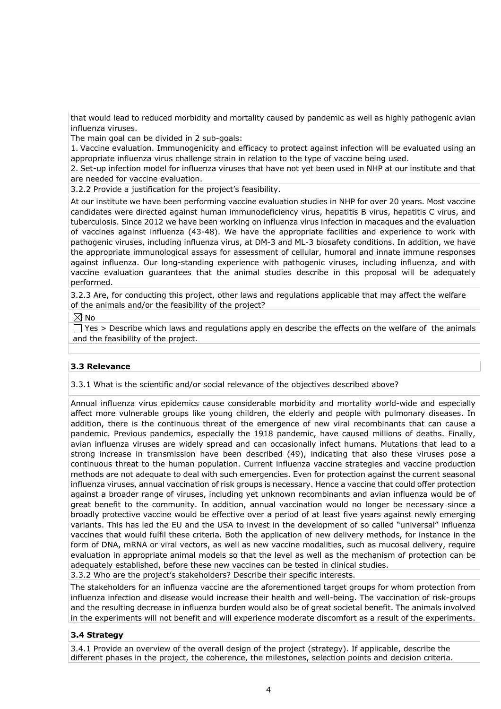that would lead to reduced morbidity and mortality caused by pandemic as well as highly pathogenic avian influenza viruses.

The main goal can be divided in 2 sub-goals:

1. Vaccine evaluation. Immunogenicity and efficacy to protect against infection will be evaluated using an appropriate influenza virus challenge strain in relation to the type of vaccine being used.

2. Set-up infection model for influenza viruses that have not yet been used in NHP at our institute and that are needed for vaccine evaluation.

3.2.2 Provide a justification for the project's feasibility.

At our institute we have been performing vaccine evaluation studies in NHP for over 20 years. Most vaccine candidates were directed against human immunodeficiency virus, hepatitis B virus, hepatitis C virus, and tuberculosis. Since 2012 we have been working on influenza virus infection in macaques and the evaluation of vaccines against influenza (43-48). We have the appropriate facilities and experience to work with pathogenic viruses, including influenza virus, at DM-3 and ML-3 biosafety conditions. In addition, we have the appropriate immunological assays for assessment of cellular, humoral and innate immune responses against influenza. Our long-standing experience with pathogenic viruses, including influenza, and with vaccine evaluation guarantees that the animal studies describe in this proposal will be adequately performed.

3.2.3 Are, for conducting this project, other laws and regulations applicable that may affect the welfare of the animals and/or the feasibility of the project?

 $\boxtimes$  No

 $\Box$  Yes > Describe which laws and regulations apply en describe the effects on the welfare of the animals and the feasibility of the project.

## **3.3 Relevance**

3.3.1 What is the scientific and/or social relevance of the objectives described above?

Annual influenza virus epidemics cause considerable morbidity and mortality world-wide and especially affect more vulnerable groups like young children, the elderly and people with pulmonary diseases. In addition, there is the continuous threat of the emergence of new viral recombinants that can cause a pandemic. Previous pandemics, especially the 1918 pandemic, have caused millions of deaths. Finally, avian influenza viruses are widely spread and can occasionally infect humans. Mutations that lead to a strong increase in transmission have been described (49), indicating that also these viruses pose a continuous threat to the human population. Current influenza vaccine strategies and vaccine production methods are not adequate to deal with such emergencies. Even for protection against the current seasonal influenza viruses, annual vaccination of risk groups is necessary. Hence a vaccine that could offer protection against a broader range of viruses, including yet unknown recombinants and avian influenza would be of great benefit to the community. In addition, annual vaccination would no longer be necessary since a broadly protective vaccine would be effective over a period of at least five years against newly emerging variants. This has led the EU and the USA to invest in the development of so called "universal" influenza vaccines that would fulfil these criteria. Both the application of new delivery methods, for instance in the form of DNA, mRNA or viral vectors, as well as new vaccine modalities, such as mucosal delivery, require evaluation in appropriate animal models so that the level as well as the mechanism of protection can be adequately established, before these new vaccines can be tested in clinical studies.

3.3.2 Who are the project's stakeholders? Describe their specific interests.

The stakeholders for an influenza vaccine are the aforementioned target groups for whom protection from influenza infection and disease would increase their health and well-being. The vaccination of risk-groups and the resulting decrease in influenza burden would also be of great societal benefit. The animals involved in the experiments will not benefit and will experience moderate discomfort as a result of the experiments.

## **3.4 Strategy**

3.4.1 Provide an overview of the overall design of the project (strategy). If applicable, describe the different phases in the project, the coherence, the milestones, selection points and decision criteria.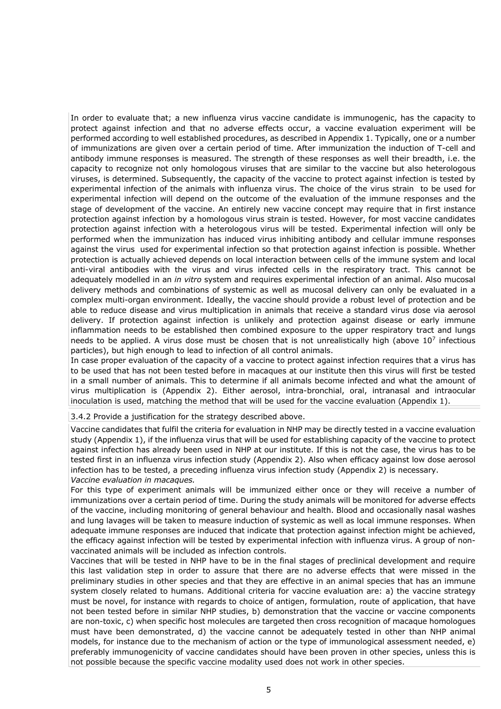In order to evaluate that; a new influenza virus vaccine candidate is immunogenic, has the capacity to protect against infection and that no adverse effects occur, a vaccine evaluation experiment will be performed according to well established procedures, as described in Appendix 1. Typically, one or a number of immunizations are given over a certain period of time. After immunization the induction of T-cell and antibody immune responses is measured. The strength of these responses as well their breadth, i.e. the capacity to recognize not only homologous viruses that are similar to the vaccine but also heterologous viruses, is determined. Subsequently, the capacity of the vaccine to protect against infection is tested by experimental infection of the animals with influenza virus. The choice of the virus strain to be used for experimental infection will depend on the outcome of the evaluation of the immune responses and the stage of development of the vaccine. An entirely new vaccine concept may require that in first instance protection against infection by a homologous virus strain is tested. However, for most vaccine candidates protection against infection with a heterologous virus will be tested. Experimental infection will only be performed when the immunization has induced virus inhibiting antibody and cellular immune responses against the virus used for experimental infection so that protection against infection is possible. Whether protection is actually achieved depends on local interaction between cells of the immune system and local anti-viral antibodies with the virus and virus infected cells in the respiratory tract. This cannot be adequately modelled in an *in vitro* system and requires experimental infection of an animal. Also mucosal delivery methods and combinations of systemic as well as mucosal delivery can only be evaluated in a complex multi-organ environment. Ideally, the vaccine should provide a robust level of protection and be able to reduce disease and virus multiplication in animals that receive a standard virus dose via aerosol delivery. If protection against infection is unlikely and protection against disease or early immune inflammation needs to be established then combined exposure to the upper respiratory tract and lungs needs to be applied. A virus dose must be chosen that is not unrealistically high (above  $10<sup>7</sup>$  infectious particles), but high enough to lead to infection of all control animals.

In case proper evaluation of the capacity of a vaccine to protect against infection requires that a virus has to be used that has not been tested before in macaques at our institute then this virus will first be tested in a small number of animals. This to determine if all animals become infected and what the amount of virus multiplication is (Appendix 2). Either aerosol, intra-bronchial, oral, intranasal and intraocular inoculation is used, matching the method that will be used for the vaccine evaluation (Appendix 1).

3.4.2 Provide a justification for the strategy described above.

Vaccine candidates that fulfil the criteria for evaluation in NHP may be directly tested in a vaccine evaluation study (Appendix 1), if the influenza virus that will be used for establishing capacity of the vaccine to protect against infection has already been used in NHP at our institute. If this is not the case, the virus has to be tested first in an influenza virus infection study (Appendix 2). Also when efficacy against low dose aerosol infection has to be tested, a preceding influenza virus infection study (Appendix 2) is necessary. *Vaccine evaluation in macaques.*

For this type of experiment animals will be immunized either once or they will receive a number of immunizations over a certain period of time. During the study animals will be monitored for adverse effects of the vaccine, including monitoring of general behaviour and health. Blood and occasionally nasal washes and lung lavages will be taken to measure induction of systemic as well as local immune responses. When adequate immune responses are induced that indicate that protection against infection might be achieved, the efficacy against infection will be tested by experimental infection with influenza virus. A group of nonvaccinated animals will be included as infection controls.

Vaccines that will be tested in NHP have to be in the final stages of preclinical development and require this last validation step in order to assure that there are no adverse effects that were missed in the preliminary studies in other species and that they are effective in an animal species that has an immune system closely related to humans. Additional criteria for vaccine evaluation are: a) the vaccine strategy must be novel, for instance with regards to choice of antigen, formulation, route of application, that have not been tested before in similar NHP studies, b) demonstration that the vaccine or vaccine components are non-toxic, c) when specific host molecules are targeted then cross recognition of macaque homologues must have been demonstrated, d) the vaccine cannot be adequately tested in other than NHP animal models, for instance due to the mechanism of action or the type of immunological assessment needed, e) preferably immunogenicity of vaccine candidates should have been proven in other species, unless this is not possible because the specific vaccine modality used does not work in other species.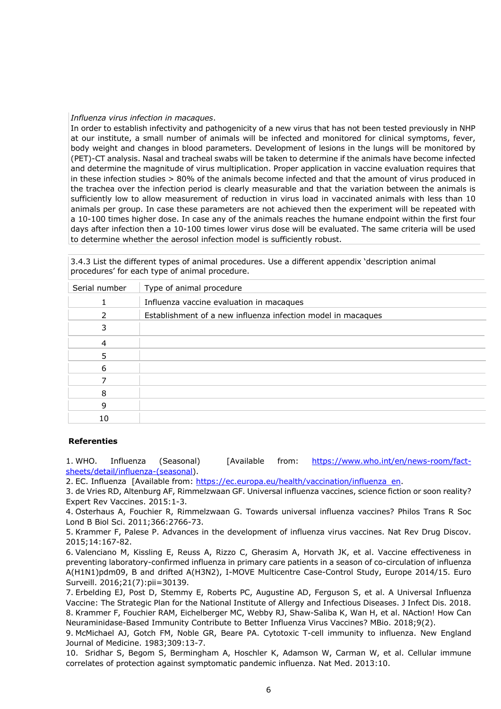#### *Influenza virus infection in macaques*.

In order to establish infectivity and pathogenicity of a new virus that has not been tested previously in NHP at our institute, a small number of animals will be infected and monitored for clinical symptoms, fever, body weight and changes in blood parameters. Development of lesions in the lungs will be monitored by (PET)-CT analysis. Nasal and tracheal swabs will be taken to determine if the animals have become infected and determine the magnitude of virus multiplication. Proper application in vaccine evaluation requires that in these infection studies > 80% of the animals become infected and that the amount of virus produced in the trachea over the infection period is clearly measurable and that the variation between the animals is sufficiently low to allow measurement of reduction in virus load in vaccinated animals with less than 10 animals per group. In case these parameters are not achieved then the experiment will be repeated with a 10-100 times higher dose. In case any of the animals reaches the humane endpoint within the first four days after infection then a 10-100 times lower virus dose will be evaluated. The same criteria will be used to determine whether the aerosol infection model is sufficiently robust.

3.4.3 List the different types of animal procedures. Use a different appendix 'description animal procedures' for each type of animal procedure.

| Type of animal procedure                                     |
|--------------------------------------------------------------|
| Influenza vaccine evaluation in macaques                     |
| Establishment of a new influenza infection model in macaques |
|                                                              |
|                                                              |
|                                                              |
|                                                              |
|                                                              |
|                                                              |
|                                                              |
|                                                              |
|                                                              |

#### **Referenties**

1. WHO. Influenza (Seasonal) [Available from: https://www.who.int/en/news-room/factsheets/detail/influenza-(seasonal).

2. EC. Influenza [Available from: https://ec.europa.eu/health/vaccination/influenza en.

3. de Vries RD, Altenburg AF, Rimmelzwaan GF. Universal influenza vaccines, science fiction or soon reality? Expert Rev Vaccines. 2015:1-3.

4. Osterhaus A, Fouchier R, Rimmelzwaan G. Towards universal influenza vaccines? Philos Trans R Soc Lond B Biol Sci. 2011;366:2766-73.

5. Krammer F, Palese P. Advances in the development of influenza virus vaccines. Nat Rev Drug Discov. 2015;14:167-82.

6. Valenciano M, Kissling E, Reuss A, Rizzo C, Gherasim A, Horvath JK, et al. Vaccine effectiveness in preventing laboratory-confirmed influenza in primary care patients in a season of co-circulation of influenza A(H1N1)pdm09, B and drifted A(H3N2), I-MOVE Multicentre Case-Control Study, Europe 2014/15. Euro Surveill. 2016;21(7):pii=30139.

7. Erbelding EJ, Post D, Stemmy E, Roberts PC, Augustine AD, Ferguson S, et al. A Universal Influenza Vaccine: The Strategic Plan for the National Institute of Allergy and Infectious Diseases. J Infect Dis. 2018. 8. Krammer F, Fouchier RAM, Eichelberger MC, Webby RJ, Shaw-Saliba K, Wan H, et al. NAction! How Can Neuraminidase-Based Immunity Contribute to Better Influenza Virus Vaccines? MBio. 2018;9(2).

9. McMichael AJ, Gotch FM, Noble GR, Beare PA. Cytotoxic T-cell immunity to influenza. New England Journal of Medicine. 1983;309:13-7.

10. Sridhar S, Begom S, Bermingham A, Hoschler K, Adamson W, Carman W, et al. Cellular immune correlates of protection against symptomatic pandemic influenza. Nat Med. 2013:10.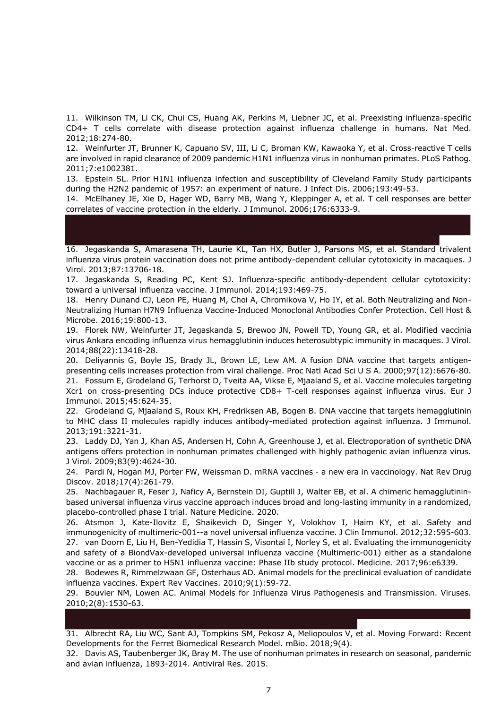11. Wilkinson TM, Li CK, Chui CS, Huang AK, Perkins M, Liebner JC, et al. Preexisting influenza-specific CD4+ T cells correlate with disease protection against influenza challenge in humans. Nat Med. 2012;18:274-80.

12. Weinfurter JT, Brunner K, Capuano SV, III, Li C, Broman KW, Kawaoka Y, et al. Cross-reactive T cells are involved in rapid clearance of 2009 pandemic H1N1 influenza virus in nonhuman primates. PLoS Pathog. 2011;7:e1002381.

13. Epstein SL. Prior H1N1 influenza infection and susceptibility of Cleveland Family Study participants during the H2N2 pandemic of 1957: an experiment of nature. J Infect Dis. 2006;193:49-53.

14. McElhaney JE, Xie D, Hager WD, Barry MB, Wang Y, Kleppinger A, et al. T cell responses are better correlates of vaccine protection in the elderly. J Immunol. 2006;176:6333-9.

# 16. Jegaskanda S, Amarasena TH, Laurie KL, Tan HX, Butler J, Parsons MS, et al. Standard trivalent influenza virus protein vaccination does not prime antibody-dependent cellular cytotoxicity in macaques. J Virol. 2013;87:13706-18.

17. Jegaskanda S, Reading PC, Kent SJ. Influenza-specific antibody-dependent cellular cytotoxicity: toward a universal influenza vaccine. J Immunol. 2014;193:469-75.

18. Henry Dunand CJ, Leon PE, Huang M, Choi A, Chromikova V, Ho IY, et al. Both Neutralizing and Non-Neutralizing Human H7N9 Influenza Vaccine-Induced Monoclonal Antibodies Confer Protection. Cell Host & Microbe. 2016;19:800-13.

19. Florek NW, Weinfurter JT, Jegaskanda S, Brewoo JN, Powell TD, Young GR, et al. Modified vaccinia virus Ankara encoding influenza virus hemagglutinin induces heterosubtypic immunity in macaques. J Virol. 2014;88(22):13418-28.

20. Deliyannis G, Boyle JS, Brady JL, Brown LE, Lew AM. A fusion DNA vaccine that targets antigenpresenting cells increases protection from viral challenge. Proc Natl Acad Sci U S A. 2000;97(12):6676-80. 21. Fossum E, Grodeland G, Terhorst D, Tveita AA, Vikse E, Mjaaland S, et al. Vaccine molecules targeting Xcr1 on cross-presenting DCs induce protective CD8+ T-cell responses against influenza virus. Eur J Immunol. 2015;45:624-35.

22. Grodeland G, Mjaaland S, Roux KH, Fredriksen AB, Bogen B. DNA vaccine that targets hemagglutinin to MHC class II molecules rapidly induces antibody-mediated protection against influenza. J Immunol. 2013;191:3221-31.

23. Laddy DJ, Yan J, Khan AS, Andersen H, Cohn A, Greenhouse J, et al. Electroporation of synthetic DNA antigens offers protection in nonhuman primates challenged with highly pathogenic avian influenza virus. J Virol. 2009;83(9):4624-30.

24. Pardi N, Hogan MJ, Porter FW, Weissman D. mRNA vaccines - a new era in vaccinology. Nat Rev Drug Discov. 2018;17(4):261-79.

25. Nachbagauer R, Feser J, Naficy A, Bernstein DI, Guptill J, Walter EB, et al. A chimeric hemagglutininbased universal influenza virus vaccine approach induces broad and long-lasting immunity in a randomized, placebo-controlled phase I trial. Nature Medicine. 2020.

26. Atsmon J, Kate-Ilovitz E, Shaikevich D, Singer Y, Volokhov I, Haim KY, et al. Safety and immunogenicity of multimeric-001--a novel universal influenza vaccine. J Clin Immunol. 2012;32:595-603. 27. van Doorn E, Liu H, Ben-Yedidia T, Hassin S, Visontai I, Norley S, et al. Evaluating the immunogenicity and safety of a BiondVax-developed universal influenza vaccine (Multimeric-001) either as a standalone vaccine or as a primer to H5N1 influenza vaccine: Phase IIb study protocol. Medicine. 2017;96:e6339.

28. Bodewes R, Rimmelzwaan GF, Osterhaus AD. Animal models for the preclinical evaluation of candidate influenza vaccines. Expert Rev Vaccines. 2010;9(1):59-72.

29. Bouvier NM, Lowen AC. Animal Models for Influenza Virus Pathogenesis and Transmission. Viruses. 2010;2(8):1530-63.

31. Albrecht RA, Liu WC, Sant AJ, Tompkins SM, Pekosz A, Meliopoulos V, et al. Moving Forward: Recent Developments for the Ferret Biomedical Research Model. mBio. 2018;9(4).

32. Davis AS, Taubenberger JK, Bray M. The use of nonhuman primates in research on seasonal, pandemic and avian influenza, 1893-2014. Antiviral Res. 2015.